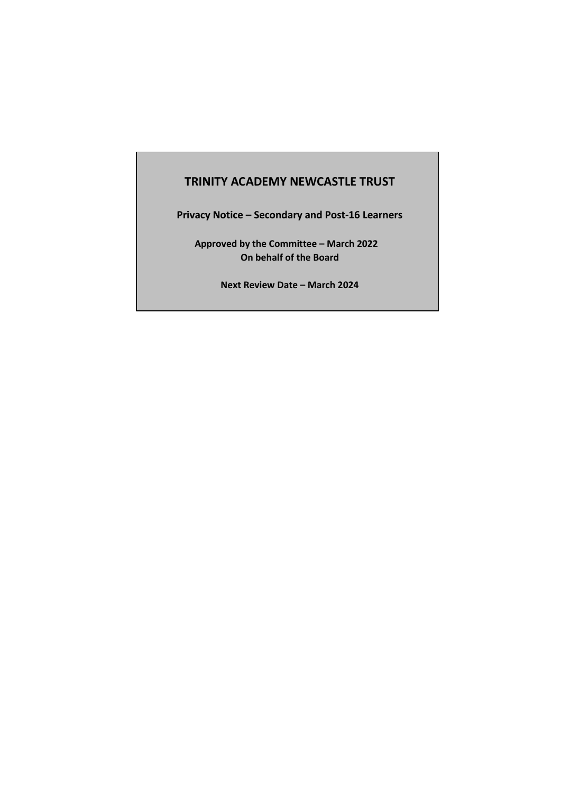# **TRINITY ACADEMY NEWCASTLE TRUST**

**Privacy Notice – Secondary and Post-16 Learners**

**Approved by the Committee – March 2022 On behalf of the Board**

**Next Review Date – March 2024**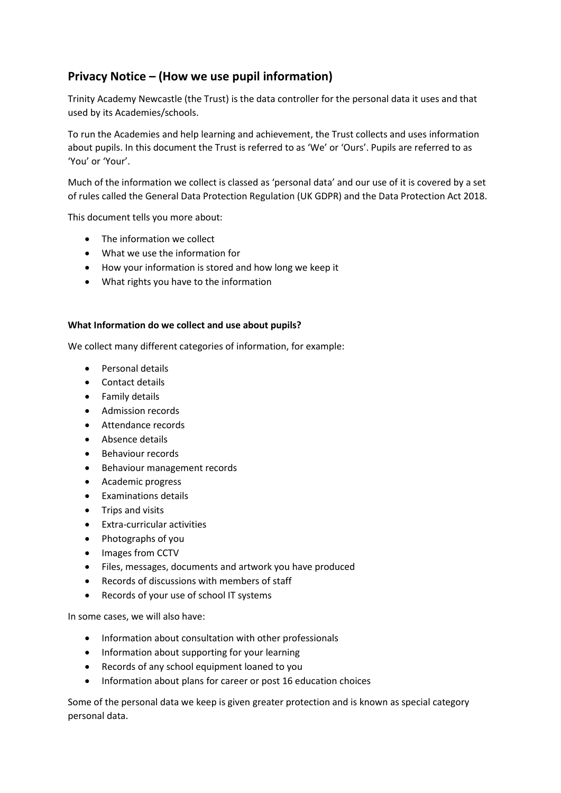# **Privacy Notice – (How we use pupil information)**

Trinity Academy Newcastle (the Trust) is the data controller for the personal data it uses and that used by its Academies/schools.

To run the Academies and help learning and achievement, the Trust collects and uses information about pupils. In this document the Trust is referred to as 'We' or 'Ours'. Pupils are referred to as 'You' or 'Your'.

Much of the information we collect is classed as 'personal data' and our use of it is covered by a set of rules called the General Data Protection Regulation (UK GDPR) and the Data Protection Act 2018.

This document tells you more about:

- The information we collect
- What we use the information for
- How your information is stored and how long we keep it
- What rights you have to the information

## **What Information do we collect and use about pupils?**

We collect many different categories of information, for example:

- Personal details
- Contact details
- **•** Family details
- Admission records
- Attendance records
- Absence details
- Behaviour records
- Behaviour management records
- Academic progress
- Examinations details
- Trips and visits
- Extra-curricular activities
- Photographs of you
- Images from CCTV
- Files, messages, documents and artwork you have produced
- Records of discussions with members of staff
- Records of your use of school IT systems

In some cases, we will also have:

- Information about consultation with other professionals
- Information about supporting for your learning
- Records of any school equipment loaned to you
- Information about plans for career or post 16 education choices

Some of the personal data we keep is given greater protection and is known as special category personal data.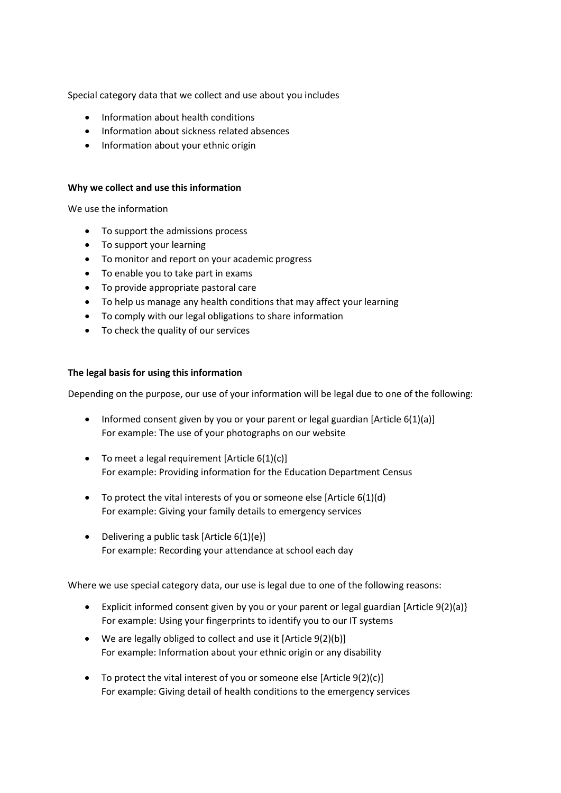Special category data that we collect and use about you includes

- Information about health conditions
- Information about sickness related absences
- Information about your ethnic origin

#### **Why we collect and use this information**

We use the information

- To support the admissions process
- To support your learning
- To monitor and report on your academic progress
- To enable you to take part in exams
- To provide appropriate pastoral care
- To help us manage any health conditions that may affect your learning
- To comply with our legal obligations to share information
- To check the quality of our services

## **The legal basis for using this information**

Depending on the purpose, our use of your information will be legal due to one of the following:

- Informed consent given by you or your parent or legal guardian [Article 6(1)(a)] For example: The use of your photographs on our website
- $\bullet$  To meet a legal requirement [Article 6(1)(c)] For example: Providing information for the Education Department Census
- $\bullet$  To protect the vital interests of you or someone else [Article 6(1)(d) For example: Giving your family details to emergency services
- Delivering a public task [Article  $6(1)(e)$ ] For example: Recording your attendance at school each day

Where we use special category data, our use is legal due to one of the following reasons:

- Explicit informed consent given by you or your parent or legal guardian [Article 9(2)(a)} For example: Using your fingerprints to identify you to our IT systems
- We are legally obliged to collect and use it [Article 9(2)(b)] For example: Information about your ethnic origin or any disability
- To protect the vital interest of you or someone else [Article 9(2)(c)] For example: Giving detail of health conditions to the emergency services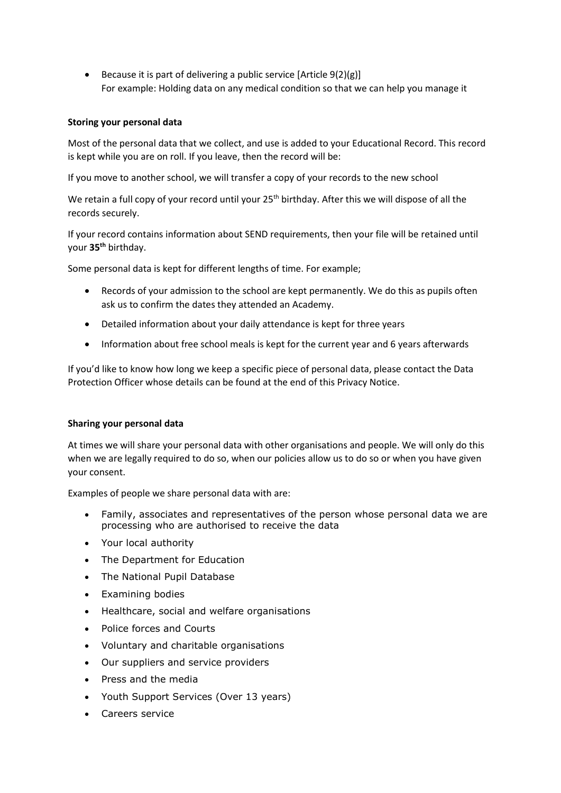Because it is part of delivering a public service  $[Article 9(2)(g)]$ For example: Holding data on any medical condition so that we can help you manage it

## **Storing your personal data**

Most of the personal data that we collect, and use is added to your Educational Record. This record is kept while you are on roll. If you leave, then the record will be:

If you move to another school, we will transfer a copy of your records to the new school

We retain a full copy of your record until your 25<sup>th</sup> birthday. After this we will dispose of all the records securely.

If your record contains information about SEND requirements, then your file will be retained until your **35th** birthday.

Some personal data is kept for different lengths of time. For example;

- Records of your admission to the school are kept permanently. We do this as pupils often ask us to confirm the dates they attended an Academy.
- Detailed information about your daily attendance is kept for three years
- Information about free school meals is kept for the current year and 6 years afterwards

If you'd like to know how long we keep a specific piece of personal data, please contact the Data Protection Officer whose details can be found at the end of this Privacy Notice.

## **Sharing your personal data**

At times we will share your personal data with other organisations and people. We will only do this when we are legally required to do so, when our policies allow us to do so or when you have given your consent.

Examples of people we share personal data with are:

- Family, associates and representatives of the person whose personal data we are processing who are authorised to receive the data
- Your local authority
- The Department for Education
- The National Pupil Database
- Examining bodies
- Healthcare, social and welfare organisations
- Police forces and Courts
- Voluntary and charitable organisations
- Our suppliers and service providers
- Press and the media
- Youth Support Services (Over 13 years)
- Careers service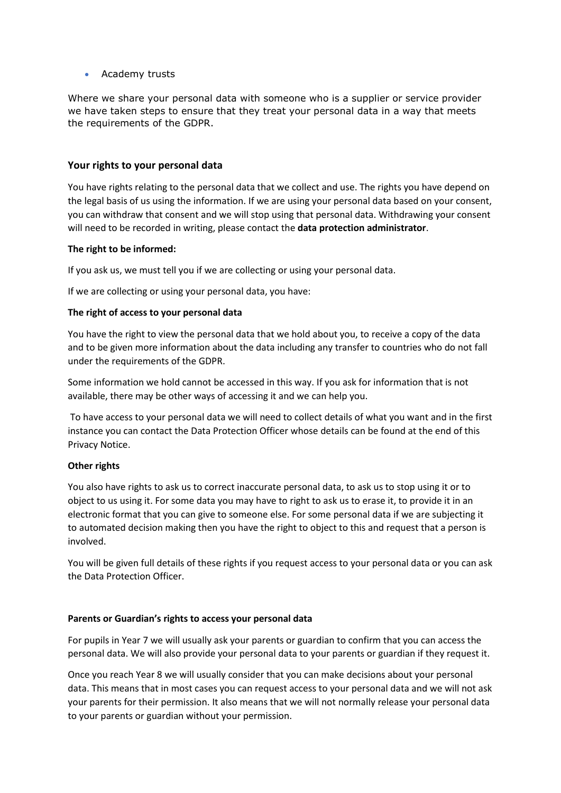## Academy trusts

Where we share your personal data with someone who is a supplier or service provider we have taken steps to ensure that they treat your personal data in a way that meets the requirements of the GDPR.

## **Your rights to your personal data**

You have rights relating to the personal data that we collect and use. The rights you have depend on the legal basis of us using the information. If we are using your personal data based on your consent, you can withdraw that consent and we will stop using that personal data. Withdrawing your consent will need to be recorded in writing, please contact the **data protection administrator**.

## **The right to be informed:**

If you ask us, we must tell you if we are collecting or using your personal data.

If we are collecting or using your personal data, you have:

## **The right of access to your personal data**

You have the right to view the personal data that we hold about you, to receive a copy of the data and to be given more information about the data including any transfer to countries who do not fall under the requirements of the GDPR.

Some information we hold cannot be accessed in this way. If you ask for information that is not available, there may be other ways of accessing it and we can help you.

To have access to your personal data we will need to collect details of what you want and in the first instance you can contact the Data Protection Officer whose details can be found at the end of this Privacy Notice.

## **Other rights**

You also have rights to ask us to correct inaccurate personal data, to ask us to stop using it or to object to us using it. For some data you may have to right to ask us to erase it, to provide it in an electronic format that you can give to someone else. For some personal data if we are subjecting it to automated decision making then you have the right to object to this and request that a person is involved.

You will be given full details of these rights if you request access to your personal data or you can ask the Data Protection Officer.

## **Parents or Guardian's rights to access your personal data**

For pupils in Year 7 we will usually ask your parents or guardian to confirm that you can access the personal data. We will also provide your personal data to your parents or guardian if they request it.

Once you reach Year 8 we will usually consider that you can make decisions about your personal data. This means that in most cases you can request access to your personal data and we will not ask your parents for their permission. It also means that we will not normally release your personal data to your parents or guardian without your permission.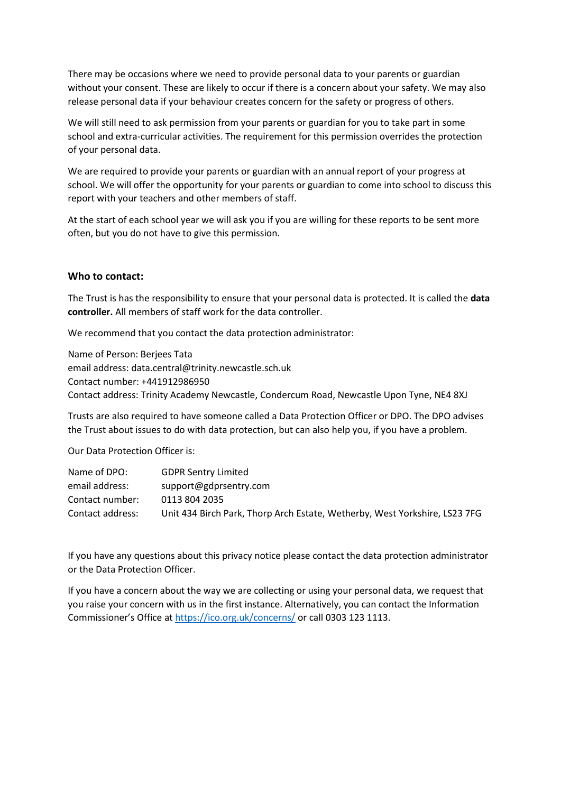There may be occasions where we need to provide personal data to your parents or guardian without your consent. These are likely to occur if there is a concern about your safety. We may also release personal data if your behaviour creates concern for the safety or progress of others.

We will still need to ask permission from your parents or guardian for you to take part in some school and extra-curricular activities. The requirement for this permission overrides the protection of your personal data.

We are required to provide your parents or guardian with an annual report of your progress at school. We will offer the opportunity for your parents or guardian to come into school to discuss this report with your teachers and other members of staff.

At the start of each school year we will ask you if you are willing for these reports to be sent more often, but you do not have to give this permission.

## **Who to contact:**

The Trust is has the responsibility to ensure that your personal data is protected. It is called the **data controller.** All members of staff work for the data controller.

We recommend that you contact the data protection administrator:

Name of Person: Berjees Tata email address: data.central@trinity.newcastle.sch.uk Contact number: +441912986950 Contact address: Trinity Academy Newcastle, Condercum Road, Newcastle Upon Tyne, NE4 8XJ

Trusts are also required to have someone called a Data Protection Officer or DPO. The DPO advises the Trust about issues to do with data protection, but can also help you, if you have a problem.

Our Data Protection Officer is:

| <b>GDPR Sentry Limited</b>                                                 |
|----------------------------------------------------------------------------|
| support@gdprsentry.com                                                     |
| 0113 804 2035                                                              |
| Unit 434 Birch Park, Thorp Arch Estate, Wetherby, West Yorkshire, LS23 7FG |
|                                                                            |

If you have any questions about this privacy notice please contact the data protection administrator or the Data Protection Officer.

If you have a concern about the way we are collecting or using your personal data, we request that you raise your concern with us in the first instance. Alternatively, you can contact the Information Commissioner's Office at <https://ico.org.uk/concerns/> or call 0303 123 1113.